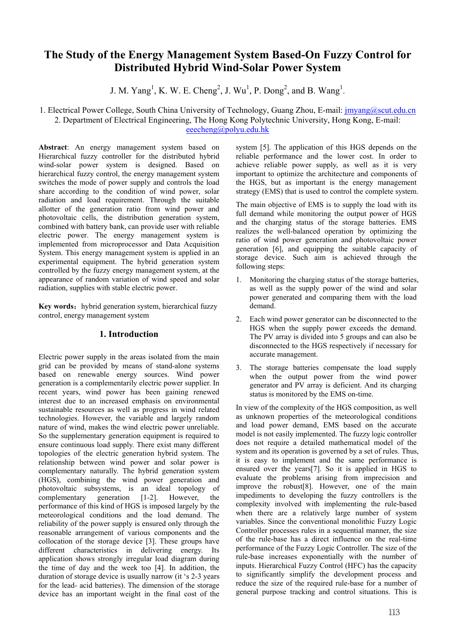# **The Study of the Energy Management System Based-On Fuzzy Control for Distributed Hybrid Wind-Solar Power System**

J. M. Yang<sup>1</sup>, K. W. E. Cheng<sup>2</sup>, J. Wu<sup>1</sup>, P. Dong<sup>2</sup>, and B. Wang<sup>1</sup>.

## 1. Electrical Power College, South China University of Technology, Guang Zhou, E-mail: jmyang@scut.edu.cn 2. Department of Electrical Engineering, The Hong Kong Polytechnic University, Hong Kong, E-mail: eeecheng@polyu.edu.hk

**Abstract**: An energy management system based on Hierarchical fuzzy controller for the distributed hybrid wind-solar power system is designed. Based on hierarchical fuzzy control, the energy management system switches the mode of power supply and controls the load share according to the condition of wind power, solar radiation and load requirement. Through the suitable allotter of the generation ratio from wind power and photovoltaic cells, the distribution generation system, combined with battery bank, can provide user with reliable electric power. The energy management system is implemented from microprocessor and Data Acquisition System. This energy management system is applied in an experimental equipment. The hybrid generation system controlled by the fuzzy energy management system, at the appearance of random variation of wind speed and solar radiation, supplies with stable electric power.

**Key words:** hybrid generation system, hierarchical fuzzy control, energy management system

# **1. Introduction**

Electric power supply in the areas isolated from the main grid can be provided by means of stand-alone systems based on renewable energy sources. Wind power generation is a complementarily electric power supplier. In recent years, wind power has been gaining renewed interest due to an increased emphasis on environmental sustainable resources as well as progress in wind related technologies. However, the variable and largely random nature of wind, makes the wind electric power unreliable. So the supplementary generation equipment is required to ensure continuous load supply. There exist many different topologies of the electric generation hybrid system. The relationship between wind power and solar power is complementary naturally. The hybrid generation system (HGS), combining the wind power generation and photovoltaic subsystems, is an ideal topology of complementary generation [1-2]. However, the performance of this kind of HGS is imposed largely by the meteorological conditions and the load demand. The reliability of the power supply is ensured only through the reasonable arrangement of various components and the collocation of the storage device [3]. These groups have different characteristics in delivering energy. Its application shows strongly irregular load diagram during the time of day and the week too [4]. In addition, the duration of storage device is usually narrow (it 's 2-3 years for the lead- acid batteries). The dimension of the storage device has an important weight in the final cost of the

system [5]. The application of this HGS depends on the reliable performance and the lower cost. In order to achieve reliable power supply, as well as it is very important to optimize the architecture and components of the HGS, but as important is the energy management strategy (EMS) that is used to control the complete system.

The main objective of EMS is to supply the load with its full demand while monitoring the output power of HGS and the charging status of the storage batteries. EMS realizes the well-balanced operation by optimizing the ratio of wind power generation and photovoltaic power generation [6], and equipping the suitable capacity of storage device. Such aim is achieved through the following steps:

- 1. Monitoring the charging status of the storage batteries, as well as the supply power of the wind and solar power generated and comparing them with the load demand.
- 2. Each wind power generator can be disconnected to the HGS when the supply power exceeds the demand. The PV array is divided into 5 groups and can also be disconnected to the HGS respectively if necessary for accurate management.
- 3. The storage batteries compensate the load supply when the output power from the wind power generator and PV array is deficient. And its charging status is monitored by the EMS on-time.

In view of the complexity of the HGS composition, as well as unknown properties of the meteorological conditions and load power demand, EMS based on the accurate model is not easily implemented. The fuzzy logic controller does not require a detailed mathematical model of the system and its operation is governed by a set of rules. Thus, it is easy to implement and the same performance is ensured over the years[7]. So it is applied in HGS to evaluate the problems arising from imprecision and improve the robust[8]. However, one of the main impediments to developing the fuzzy controllers is the complexity involved with implementing the rule-based when there are a relatively large number of system variables. Since the conventional monolithic Fuzzy Logic Controller processes rules in a sequential manner, the size of the rule-base has a direct influence on the real-time performance of the Fuzzy Logic Controller. The size of the rule-base increases exponentially with the number of inputs. Hierarchical Fuzzy Control (HFC) has the capacity to significantly simplify the development process and reduce the size of the required rule-base for a number of general purpose tracking and control situations. This is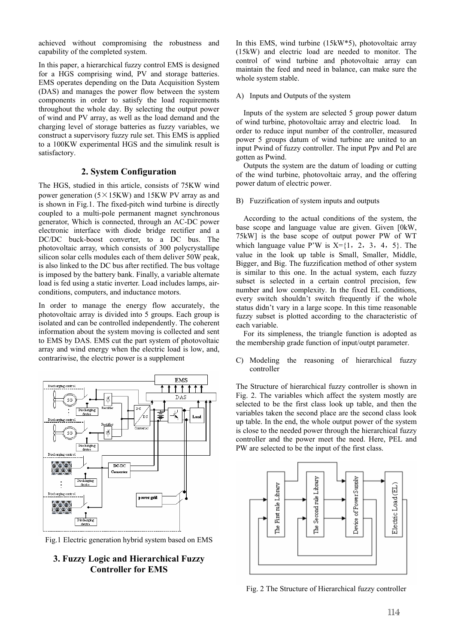achieved without compromising the robustness and capability of the completed system.

In this paper, a hierarchical fuzzy control EMS is designed for a HGS comprising wind, PV and storage batteries. EMS operates depending on the Data Acquisition System (DAS) and manages the power flow between the system components in order to satisfy the load requirements throughout the whole day. By selecting the output power of wind and PV array, as well as the load demand and the charging level of storage batteries as fuzzy variables, we construct a supervisory fuzzy rule set. This EMS is applied to a 100KW experimental HGS and the simulink result is satisfactory.

### **2. System Configuration**

The HGS, studied in this article, consists of 75KW wind power generation  $(5 \times 15 \text{KW})$  and  $15 \text{KW}$  PV array as and is shown in Fig.1. The fixed-pitch wind turbine is directly coupled to a multi-pole permanent magnet synchronous generator, Which is connected, through an AC-DC power electronic interface with diode bridge rectifier and a DC/DC buck-boost converter, to a DC bus. The photovoltaic array, which consists of 300 polycrystallipe silicon solar cells modules each of them deliver 50W peak, is also linked to the DC bus after rectified. The bus voltage is imposed by the battery bank. Finally, a variable alternate load is fed using a static inverter. Load includes lamps, airconditions, computers, and inductance motors.

In order to manage the energy flow accurately, the photovoltaic array is divided into 5 groups. Each group is isolated and can be controlled independently. The coherent information about the system moving is collected and sent to EMS by DAS. EMS cut the part system of photovoltaic array and wind energy when the electric load is low, and, contrariwise, the electric power is a supplement



Fig.1 Electric generation hybrid system based on EMS

### **3. Fuzzy Logic and Hierarchical Fuzzy Controller for EMS**

In this EMS, wind turbine (15kW\*5), photovoltaic array (15kW) and electric load are needed to monitor. The control of wind turbine and photovoltaic array can maintain the feed and need in balance, can make sure the whole system stable.

#### A) Inputs and Outputs of the system

 Inputs of the system are selected 5 group power datum of wind turbine, photovoltaic array and electric load. In order to reduce input number of the controller, measured power 5 groups datum of wind turbine are united to an input Pwind of fuzzy controller. The input Ppv and Pel are gotten as Pwind.

 Outputs the system are the datum of loading or cutting of the wind turbine, photovoltaic array, and the offering power datum of electric power.

#### B) Fuzzification of system inputs and outputs

 According to the actual conditions of the system, the base scope and language value are given. Given [0kW, 75kW] is the base scope of output power PW of WT which language value P'W is  $X=\{1, 2, 3, 4, 5\}$ . The value in the look up table is Small, Smaller, Middle, Bigger, and Big. The fuzzification method of other system is similar to this one. In the actual system, each fuzzy subset is selected in a certain control precision, few number and low complexity. In the fixed EL conditions, every switch shouldn't switch frequently if the whole status didn't vary in a large scope. In this time reasonable fuzzy subset is plotted according to the characteristic of each variable.

 For its simpleness, the triangle function is adopted as the membership grade function of input/outpt parameter.

C) Modeling the reasoning of hierarchical fuzzy controller

The Structure of hierarchical fuzzy controller is shown in Fig. 2. The variables which affect the system mostly are selected to be the first class look up table, and then the variables taken the second place are the second class look up table. In the end, the whole output power of the system is close to the needed power through the hierarchical fuzzy controller and the power meet the need. Here, PEL and PW are selected to be the input of the first class.



Fig. 2 The Structure of Hierarchical fuzzy controller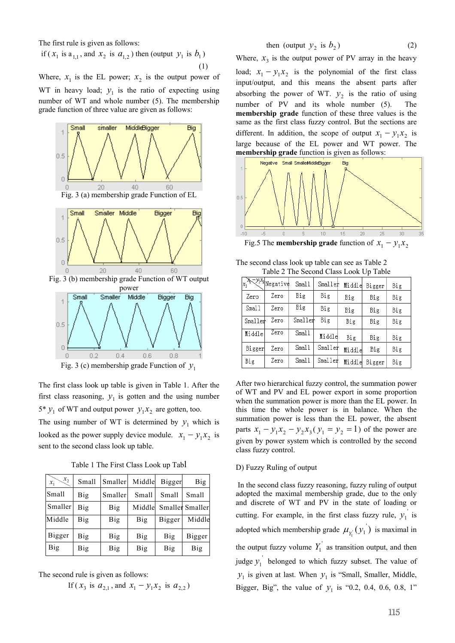The first rule is given as follows:

if 
$$
(x_1 \text{ is } a_{1,1}, \text{ and } x_2 \text{ is } a_{1,2})
$$
 then (output  $y_1 \text{ is } b_1)$   
(1)

Where,  $x_1$  is the EL power;  $x_2$  is the output power of WT in heavy load;  $y_1$  is the ratio of expecting using number of WT and whole number (5). The membership grade function of three value are given as follows:



Fig. 3 (c) membership grade Function of  $y_1$ 

The first class look up table is given in Table 1. After the first class reasoning,  $y_1$  is gotten and the using number  $5 * y_1$  of WT and output power  $y_1 x_2$  are gotten, too.

The using number of WT is determined by  $y_1$  which is looked as the power supply device module.  $x_1 - y_1 x_2$  is sent to the second class look up table.

Table 1 The First Class Look up Tabl

| $x_{2}$<br>$\mathcal{X}_1$ | Small      | Smaller    | Middle     | Bigger | <b>Big</b>      |
|----------------------------|------------|------------|------------|--------|-----------------|
| Small                      | Big        | Smaller    | Small      | Small  | Small           |
| Smaller                    | Big        | Big        | Middle     |        | Smaller Smaller |
| Middle                     | Big        | Big        | Big        | Bigger | Middle          |
| Bigger                     | Big        | <b>Big</b> | <b>Big</b> | Big    | Bigger          |
| <b>Big</b>                 | <b>Big</b> | <b>Big</b> | <b>Big</b> | Big    | <b>Big</b>      |

The second rule is given as follows:

If 
$$
(x_3 \text{ is } a_{2,1}, \text{ and } x_1 - y_1 x_2 \text{ is } a_{2,2})
$$

then (output 
$$
y_2
$$
 is  $b_2$ ) (2)

Where,  $x_3$  is the output power of PV array in the heavy load;  $x_1 - y_1 x_2$  is the polynomial of the first class input/output, and this means the absent parts after absorbing the power of WT.  $y_2$  is the ratio of using number of PV and its whole number (5). The **membership grade** function of these three values is the same as the first class fuzzy control. But the sections are different. In addition, the scope of output  $x_1 - y_1 x_2$  is large because of the EL power and WT power. The **membership grade** function is given as follows:



Fig.5 The **membership grade** function of  $x_1 - y_1 x_2$ 

The second class look up table can see as Table 2 Table 2 The Second Class Look Up Table

|         | $x_3$ $\sqrt[3]{x_2}$ Negative | Small   | Smaller | Middle | Bigger | Big |  |  |  |
|---------|--------------------------------|---------|---------|--------|--------|-----|--|--|--|
| Zero    | Zero                           | Big     | Big     | Big    | Big    | Big |  |  |  |
| Small   | Zero                           | Big     | Big     | Big    | Big    | Big |  |  |  |
| Smaller | Zero                           | Smaller | Big     | Big    | Big    | Big |  |  |  |
| Middle  | Zero                           | Small   | Middle  | Big    | Big    | Big |  |  |  |
| Bigger  | Zero                           | Small   | Smaller | Middle | Big    | Big |  |  |  |
| Big     | Zero                           | Small   | Smaller | Middle | Bigger | Big |  |  |  |

After two hierarchical fuzzy control, the summation power of WT and PV and EL power export in some proportion when the summation power is more than the EL power. In this time the whole power is in balance. When the summation power is less than the EL power, the absent parts  $x_1 - y_1 x_2 - y_2 x_3$  ( $y_1 = y_2 = 1$ ) of the power are given by power system which is controlled by the second class fuzzy control.

### D) Fuzzy Ruling of output

 In the second class fuzzy reasoning, fuzzy ruling of output adopted the maximal membership grade, due to the only and discrete of WT and PV in the state of loading or cutting. For example, in the first class fuzzy rule,  $y_1'$  is adopted which membership grade  $\mu_{Y_1}(y_1)$  is maximal in the output fuzzy volume  $Y_1$ <sup>'</sup> as transition output, and then judge  $y_1^{\dagger}$  belonged to which fuzzy subset. The value of  $y_1$  is given at last. When  $y_1$  is "Small, Smaller, Middle, Bigger, Big", the value of  $y_1$  is "0.2, 0.4, 0.6, 0.8, 1"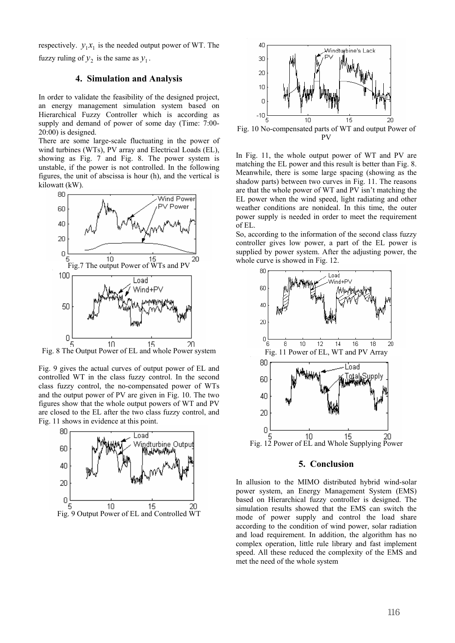respectively.  $y_1 x_1$  is the needed output power of WT. The fuzzy ruling of  $y_2$  is the same as  $y_1$ .

### **4. Simulation and Analysis**

In order to validate the feasibility of the designed project, an energy management simulation system based on Hierarchical Fuzzy Controller which is according as supply and demand of power of some day (Time: 7:00- 20:00) is designed.

There are some large-scale fluctuating in the power of wind turbines (WTs), PV array and Electrical Loads (EL), showing as Fig. 7 and Fig. 8. The power system is unstable, if the power is not controlled. In the following figures, the unit of abscissa is hour (h), and the vertical is kilowatt (kW).



Fig. 8 The Output Power of EL and whole Power system

Fig. 9 gives the actual curves of output power of EL and controlled WT in the class fuzzy control. In the second class fuzzy control, the no-compensated power of WTs and the output power of PV are given in Fig. 10. The two figures show that the whole output powers of WT and PV are closed to the EL after the two class fuzzy control, and Fig. 11 shows in evidence at this point.







Fig. 10 No-compensated parts of WT and output Power of PV

In Fig. 11, the whole output power of WT and PV are matching the EL power and this result is better than Fig. 8. Meanwhile, there is some large spacing (showing as the shadow parts) between two curves in Fig. 11. The reasons are that the whole power of WT and PV isn't matching the EL power when the wind speed, light radiating and other weather conditions are nonideal. In this time, the outer power supply is needed in order to meet the requirement of EL.

So, according to the information of the second class fuzzy controller gives low power, a part of the EL power is supplied by power system. After the adjusting power, the whole curve is showed in Fig. 12.



### **5. Conclusion**

In allusion to the MIMO distributed hybrid wind-solar power system, an Energy Management System (EMS) based on Hierarchical fuzzy controller is designed. The simulation results showed that the EMS can switch the mode of power supply and control the load share according to the condition of wind power, solar radiation and load requirement. In addition, the algorithm has no complex operation, little rule library and fast implement speed. All these reduced the complexity of the EMS and met the need of the whole system